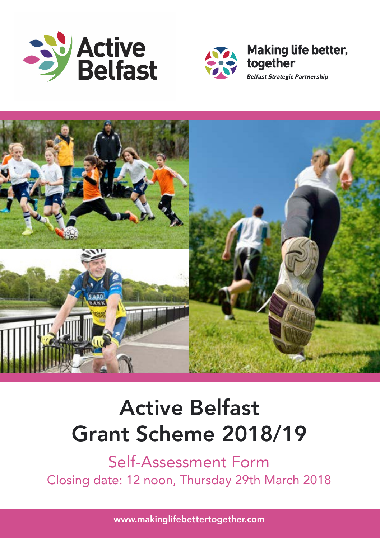





# **Active Belfast Grant Scheme 2018/19**

Self-Assessment Form Closing date: 12 noon, Thursday 29th March 2018

www.makinglifebettertogether.com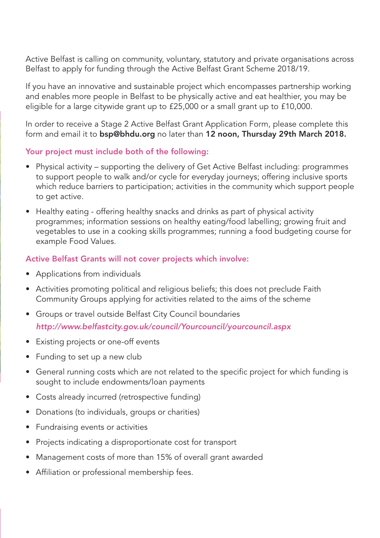Active Belfast is calling on community, voluntary, statutory and private organisations across Belfast to apply for funding through the Active Belfast Grant Scheme 2018/19.

If you have an innovative and sustainable project which encompasses partnership working and enables more people in Belfast to be physically active and eat healthier, you may be eligible for a large citywide grant up to £25,000 or a small grant up to £10,000.

In order to receive a Stage 2 Active Belfast Grant Application Form, please complete this form and email it to **bsp@bhdu.org** no later than **12 noon, Thursday 29th March 2018.**

#### **Your project must include both of the following:**

- Physical activity supporting the delivery of Get Active Belfast including: programmes to support people to walk and/or cycle for everyday journeys; offering inclusive sports which reduce barriers to participation; activities in the community which support people to get active.
- Healthy eating offering healthy snacks and drinks as part of physical activity programmes; information sessions on healthy eating/food labelling; growing fruit and vegetables to use in a cooking skills programmes; running a food budgeting course for example Food Values.

### **Active Belfast Grants will not cover projects which involve:**

- Applications from individuals
- Activities promoting political and religious beliefs; this does not preclude Faith Community Groups applying for activities related to the aims of the scheme
- Groups or travel outside Belfast City Council boundaries *http://www.belfastcity.gov.uk/council/Yourcouncil/yourcouncil.aspx*
- Existing projects or one-off events
- Funding to set up a new club
- General running costs which are not related to the specific project for which funding is sought to include endowments/loan payments
- Costs already incurred (retrospective funding)
- Donations (to individuals, groups or charities)
- Fundraising events or activities
- Projects indicating a disproportionate cost for transport
- Management costs of more than 15% of overall grant awarded
- Affiliation or professional membership fees.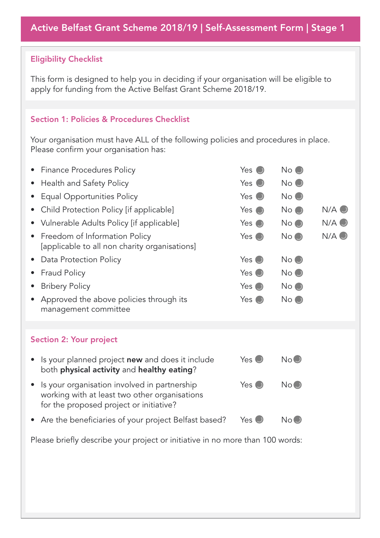### **Eligibility Checklist**

This form is designed to help you in deciding if your organisation will be eligible to apply for funding from the Active Belfast Grant Scheme 2018/19.

#### **Section 1: Policies & Procedures Checklist**

Your organisation must have ALL of the following policies and procedures in place. Please confirm your organisation has:

| <b>Finance Procedures Policy</b>                                                                                                                      | Yes $\bullet$   | No ( )         |               |
|-------------------------------------------------------------------------------------------------------------------------------------------------------|-----------------|----------------|---------------|
| Health and Safety Policy<br>٠                                                                                                                         | Yes $\bullet$   | $No$ $\odot$   |               |
| <b>Equal Opportunities Policy</b>                                                                                                                     | $Yes$ $\bullet$ | $No$ $\odot$   |               |
| Child Protection Policy [if applicable]<br>$\bullet$                                                                                                  | Yes $\bigcirc$  | $No$ $\odot$   | $N/A$ $\odot$ |
| • Vulnerable Adults Policy [if applicable]                                                                                                            | Yes $\bullet$   | $No$ $\bullet$ | $N/A$ $\odot$ |
| Freedom of Information Policy<br>٠<br>[applicable to all non charity organisations]                                                                   | Yes $\bigcirc$  | $No$ $\odot$   | $N/A$ $\odot$ |
| Data Protection Policy<br>٠                                                                                                                           | Yes $\bigcirc$  | No (           |               |
| <b>Fraud Policy</b>                                                                                                                                   | Yes $\bullet$   | No             |               |
| <b>Bribery Policy</b><br>٠                                                                                                                            | Yes $\bigcirc$  | $No$ $\odot$   |               |
| Approved the above policies through its<br>management committee                                                                                       | Yes $\bullet$   | $No$ $\odot$   |               |
|                                                                                                                                                       |                 |                |               |
| <b>Section 2: Your project</b>                                                                                                                        |                 |                |               |
| Is your planned project new and does it include<br>both physical activity and healthy eating?                                                         | $Yes$ $\bullet$ | No             |               |
| Is your organisation involved in partnership<br>$\bullet$<br>working with at least two other organisations<br>for the proposed project or initiative? | $Yes$ $\bullet$ | No ()          |               |
| • Are the beneficiaries of your project Belfast based?                                                                                                | Yes $\bigcirc$  | No (J          |               |

Please briefly describe your project or initiative in no more than 100 words: